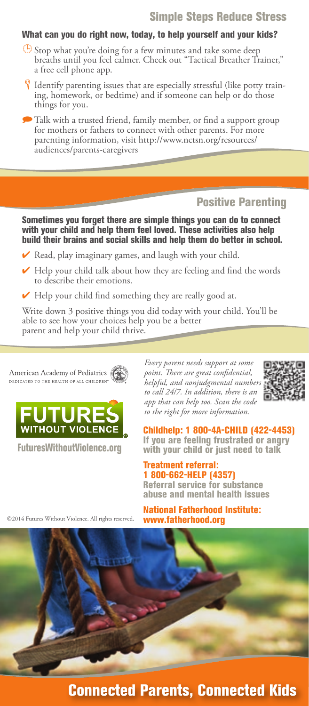## Simple Steps Reduce Stress

### What can you do right now, today, to help yourself and your kids?

- $\bigoplus$  Stop what you're doing for a few minutes and take some deep breaths until you feel calmer. Check out "Tactical Breather Trainer," a free cell phone app.
- <sup>8</sup> Identify parenting issues that are especially stressful (like potty training, homework, or bedtime) and if someone can help or do those things for you.

Talk with a trusted friend, family member, or find a support group for mothers or fathers to connect with other parents. For more parenting information, visit http://www.nctsn.org/resources/ audiences/parents-caregivers

# Positive Parenting

Sometimes you forget there are simple things you can do to connect with your child and help them feel loved. These activities also help build their brains and social skills and help them do better in school.

- ✔ Read, play imaginary games, and laugh with your child.
- ✔ Help your child talk about how they are feeling and find the words to describe their emotions.
- $\blacktriangleright$  Help your child find something they are really good at.

Write down 3 positive things you did today with your child. You'll be able to see how your choices help you be a better parent and help your child thrive.

American Academy of Pediatrics DEDICATED TO THE HEALTH OF ALL CHILDREN



FuturesWithoutViolence.org

©2014 Futures Without Violence. All rights reserved.

*Every parent needs support at some point. There are great confidential, helpful, and nonjudgmental numbers to call 24/7. In addition, there is an app that can help too. Scan the code to the right for more information.*



Childhelp: 1 800-4A-CHILD (422-4453) If you are feeling frustrated or angry with your child or just need to talk

#### Treatment referral: 1 800-662-HELP (4357)

Referral service for substance abuse and mental health issues

National Fatherhood Institute: www.fatherhood.org

Connected Parents, Connected Kids